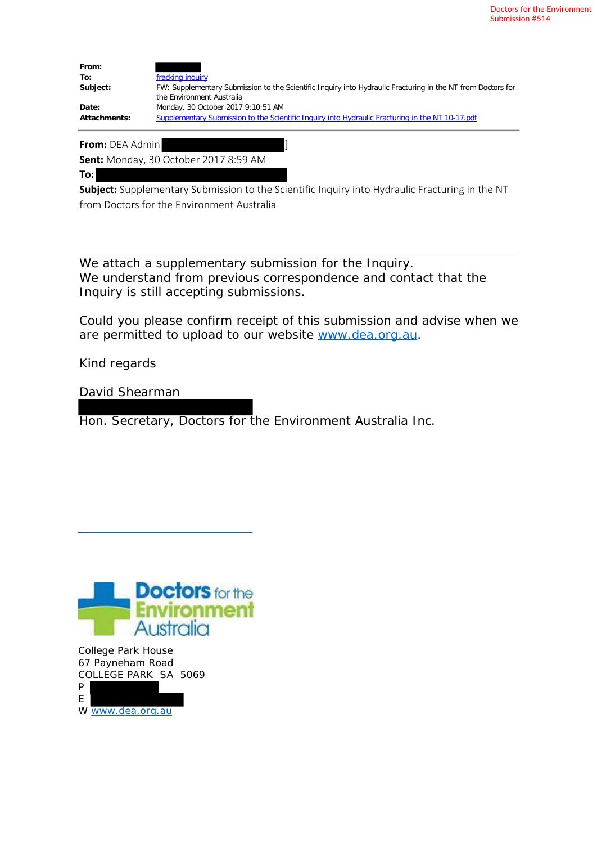Doctors for the Environment Submission #514

| From:        |                                                                                                                                          |
|--------------|------------------------------------------------------------------------------------------------------------------------------------------|
| To:          | fracking inquiry                                                                                                                         |
| Subject:     | FW: Supplementary Submission to the Scientific Inquiry into Hydraulic Fracturing in the NT from Doctors for<br>the Environment Australia |
| Date:        | Monday, 30 October 2017 9:10:51 AM                                                                                                       |
| Attachments: | Supplementary Submission to the Scientific Inquiry into Hydraulic Fracturing in the NT 10-17 pdf                                         |

**From:** DEA Admin ]

**Sent:** Monday, 30 October 2017 8:59 AM

**To:**

**Subject:** Supplementary Submission to the Scientific Inquiry into Hydraulic Fracturing in the NT from Doctors for the Environment Australia

We attach a supplementary submission for the Inquiry. We understand from previous correspondence and contact that the Inquiry is still accepting submissions.

Could you please confirm receipt of this submission and advise when we are permitted to upload to our website www.dea.org.au.

Kind regards

David Shearman

Hon. Secretary, Doctors for the Environment Australia Inc.



College Park House 67 Payneham Road COLLEGE PARK SA 5069 P<sup>1</sup>

| W www.dea.org.au |
|------------------|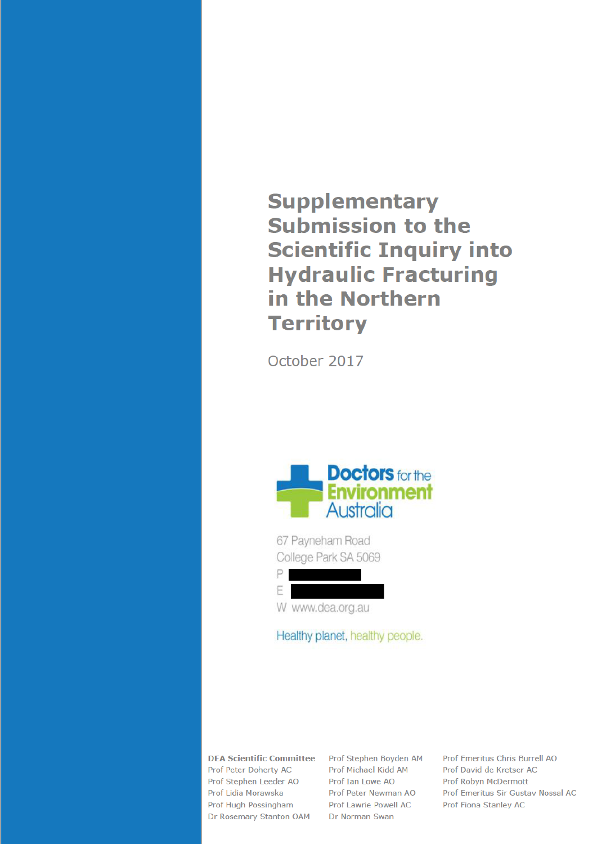## **Supplementary Submission to the Scientific Inquiry into Hydraulic Fracturing** in the Northern **Territory**

October 2017



67 Payneham Road College Park SA 5069



Healthy planet, healthy people.

**DEA Scientific Committee** Prof Peter Doherty AC Prof Stephen Leeder AO Prof Lidia Morawska Prof Hugh Possingham Dr Rosemary Stanton OAM

Prof Stephen Boyden AM Prof Michael Kidd AM Prof Tan Lowe AO Prof Peter Newman AO Prof Lawrie Powell AC Dr Norman Swan

Prof Emeritus Chris Burrell AO Prof David de Kretser AC Prof Robyn McDermott Prof Emeritus Sir Gustav Nossal AC Prof Fiona Stanley AC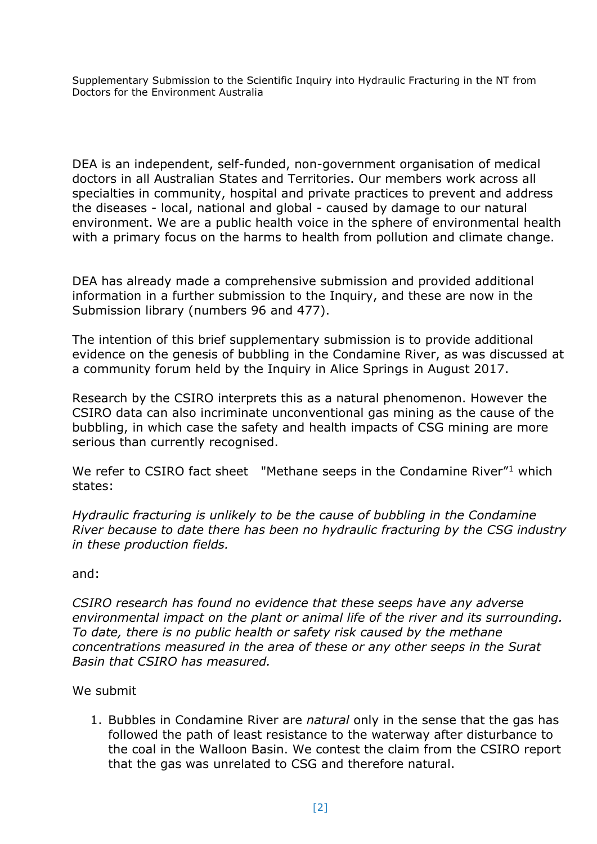Supplementary Submission to the Scientific Inquiry into Hydraulic Fracturing in the NT from Doctors for the Environment Australia

DEA is an independent, self-funded, non-government organisation of medical doctors in all Australian States and Territories. Our members work across all specialties in community, hospital and private practices to prevent and address the diseases - local, national and global - caused by damage to our natural environment. We are a public health voice in the sphere of environmental health with a primary focus on the harms to health from pollution and climate change.

DEA has already made a comprehensive submission and provided additional information in a further submission to the Inquiry, and these are now in the Submission library (numbers 96 and 477).

The intention of this brief supplementary submission is to provide additional evidence on the genesis of bubbling in the Condamine River, as was discussed at a community forum held by the Inquiry in Alice Springs in August 2017.

Research by the CSIRO interprets this as a natural phenomenon. However the CSIRO data can also incriminate unconventional gas mining as the cause of the bubbling, in which case the safety and health impacts of CSG mining are more serious than currently recognised.

<span id="page-2-0"></span>We refer to CSIRO fact sheet "Methane seeps in the Condamine River"<sup>1</sup> which states:

*Hydraulic fracturing is unlikely to be the cause of bubbling in the Condamine River because to date there has been no hydraulic fracturing by the CSG industry in these production fields.*

## and:

*CSIRO research has found no evidence that these seeps have any adverse environmental impact on the plant or animal life of the river and its surrounding. To date, there is no public health or safety risk caused by the methane concentrations measured in the area of these or any other seeps in the Surat Basin that CSIRO has measured.*

## We submit

1. Bubbles in Condamine River are *natural* only in the sense that the gas has followed the path of least resistance to the waterway after disturbance to the coal in the Walloon Basin. We contest the claim from the CSIRO report that the gas was unrelated to CSG and therefore natural.